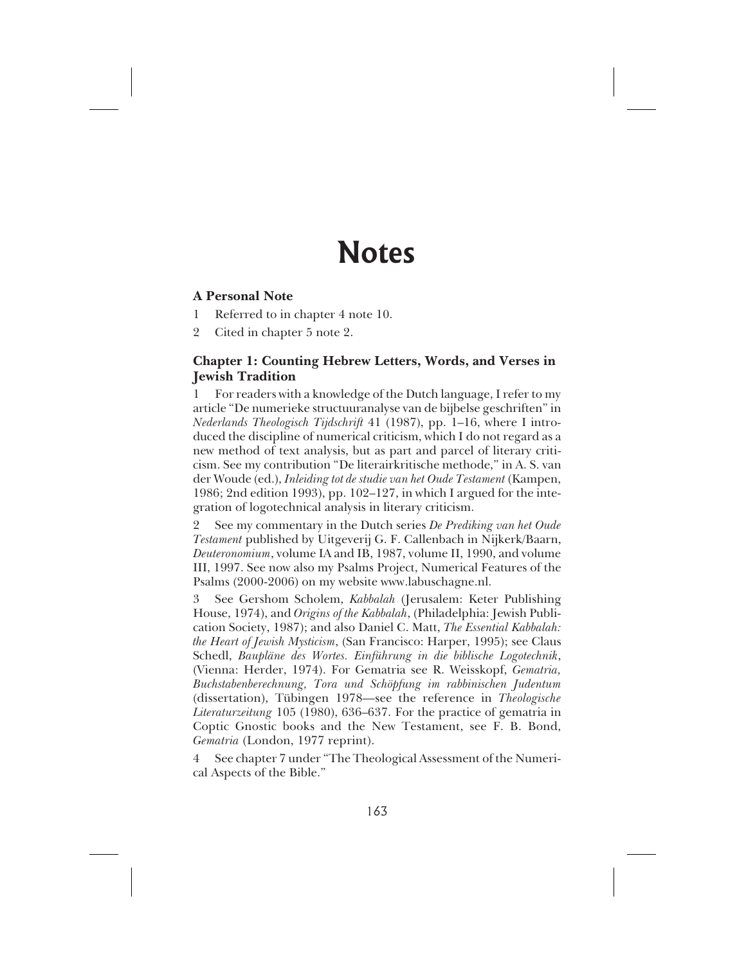# **Notes**

## **A Personal Note**

- 1 Referred to in chapter 4 note 10.
- 2 Cited in chapter 5 note 2.

## **Chapter 1: Counting Hebrew Letters, Words, and Verses in Jewish Tradition**

1 For readers with a knowledge of the Dutch language, I refer to my article "De numerieke structuuranalyse van de bijbelse geschriften" in *Nederlands Theologisch Tijdschrift* 41 (1987), pp. 1–16, where I introduced the discipline of numerical criticism, which I do not regard as a new method of text analysis, but as part and parcel of literary criticism. See my contribution "De literairkritische methode," in A. S. van der Woude (ed.), *Inleiding tot de studie van het Oude Testament* (Kampen, 1986; 2nd edition 1993), pp. 102–127, in which I argued for the integration of logotechnical analysis in literary criticism.

2 See my commentary in the Dutch series *De Prediking van het Oude Testament* published by Uitgeverij G. F. Callenbach in Nijkerk/Baarn, *Deuteronomium*, volume IA and IB, 1987, volume II, 1990, and volume III, 1997. See now also my Psalms Project, Numerical Features of the Psalms (2000-2006) on my website www.labuschagne.nl.

3 See Gershom Scholem, *Kabbalah* (Jerusalem: Keter Publishing House, 1974), and *Origins of the Kabbalah*, (Philadelphia: Jewish Publication Society, 1987); and also Daniel C. Matt, *The Essential Kabbalah: the Heart of Jewish Mysticism*, (San Francisco: Harper, 1995); see Claus Schedl, *Baupläne des Wortes. Einführung in die biblische Logotechnik*, (Vienna: Herder, 1974). For Gematria see R. Weisskopf, *Gematria, Buchstabenberechnung, Tora und Schöpfung im rabbinischen Judentum* (dissertation), Tübingen 1978—see the reference in *Theologische Literaturzeitung* 105 (1980), 636–637. For the practice of gematria in Coptic Gnostic books and the New Testament, see F. B. Bond, *Gematria* (London, 1977 reprint).

4 See chapter 7 under "The Theological Assessment of the Numerical Aspects of the Bible."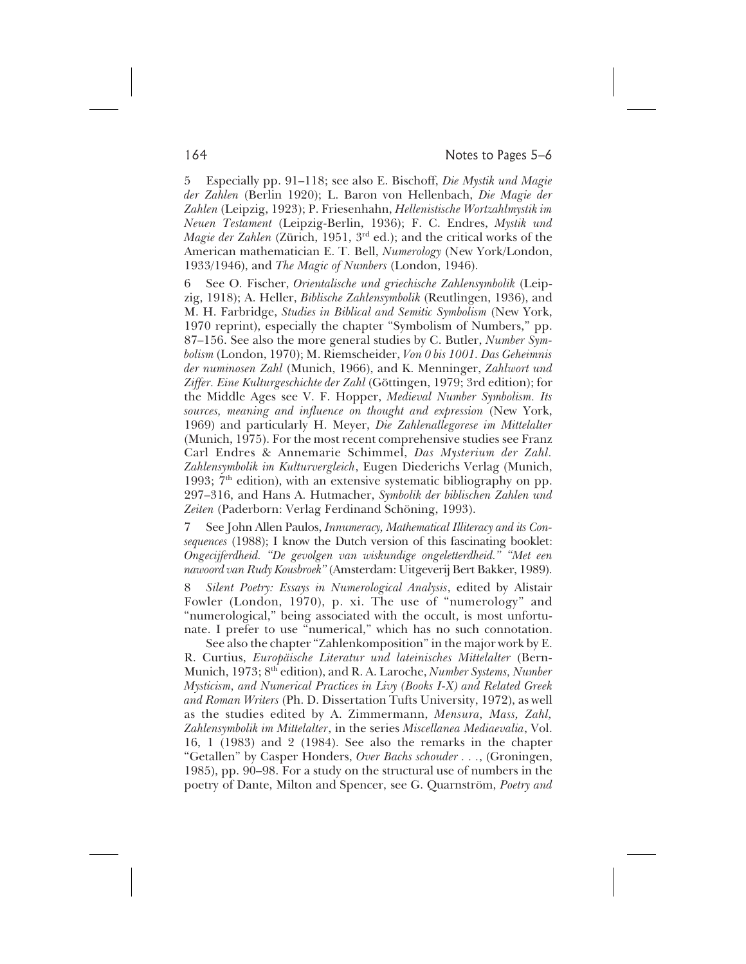164 Notes to Pages 5–6

5 Especially pp. 91–118; see also E. Bischoff, *Die Mystik und Magie der Zahlen* (Berlin 1920); L. Baron von Hellenbach, *Die Magie der Zahlen* (Leipzig, 1923); P. Friesenhahn, *Hellenistische Wortzahlmystik im Neuen Testament* (Leipzig-Berlin, 1936); F. C. Endres, *Mystik und Magie der Zahlen* (Zürich, 1951, 3rd ed.); and the critical works of the American mathematician E. T. Bell, *Numerology* (New York/London, 1933/1946), and *The Magic of Numbers* (London, 1946).

6 See O. Fischer, *Orientalische und griechische Zahlensymbolik* (Leipzig, 1918); A. Heller, *Biblische Zahlensymbolik* (Reutlingen, 1936), and M. H. Farbridge, *Studies in Biblical and Semitic Symbolism* (New York, 1970 reprint), especially the chapter "Symbolism of Numbers," pp. 87–156. See also the more general studies by C. Butler, *Number Symbolism* (London, 1970); M. Riemscheider, *Von 0 bis 1001. Das Geheimnis der numinosen Zahl* (Munich, 1966), and K. Menninger, *Zahlwort und Ziffer. Eine Kulturgeschichte der Zahl* (Göttingen, 1979; 3rd edition); for the Middle Ages see V. F. Hopper, *Medieval Number Symbolism. Its sources, meaning and influence on thought and expression* (New York, 1969) and particularly H. Meyer, *Die Zahlenallegorese im Mittelalter* (Munich, 1975). For the most recent comprehensive studies see Franz Carl Endres & Annemarie Schimmel, *Das Mysterium der Zahl. Zahlensymbolik im Kulturvergleich*, Eugen Diederichs Verlag (Munich, 1993;  $7<sup>th</sup>$  edition), with an extensive systematic bibliography on pp. 297–316, and Hans A. Hutmacher, *Symbolik der biblischen Zahlen und Zeiten* (Paderborn: Verlag Ferdinand Schöning, 1993).

7 See John Allen Paulos, *Innumeracy, Mathematical Illiteracy and its Consequences* (1988); I know the Dutch version of this fascinating booklet: *Ongecijferdheid. "De gevolgen van wiskundige ongeletterdheid." "Met een nawoord van Rudy Kousbroek"* (Amsterdam: Uitgeverij Bert Bakker, 1989).

8 *Silent Poetry: Essays in Numerological Analysis*, edited by Alistair Fowler (London, 1970), p. xi. The use of "numerology" and "numerological," being associated with the occult, is most unfortunate. I prefer to use "numerical," which has no such connotation.

See also the chapter "Zahlenkomposition" in the major work by E. R. Curtius, *Europäische Literatur und lateinisches Mittelalter* (Bern-Munich, 1973; 8th edition), and R. A. Laroche, *Number Systems, Number Mysticism, and Numerical Practices in Livy (Books I-X) and Related Greek and Roman Writers* (Ph. D. Dissertation Tufts University, 1972), as well as the studies edited by A. Zimmermann, *Mensura, Mass, Zahl, Zahlensymbolik im Mittelalter*, in the series *Miscellanea Mediaevalia*, Vol. 16, 1 (1983) and 2 (1984). See also the remarks in the chapter "Getallen" by Casper Honders, *Over Bachs schouder . . .*, (Groningen, 1985), pp. 90–98. For a study on the structural use of numbers in the poetry of Dante, Milton and Spencer, see G. Quarnström, *Poetry and*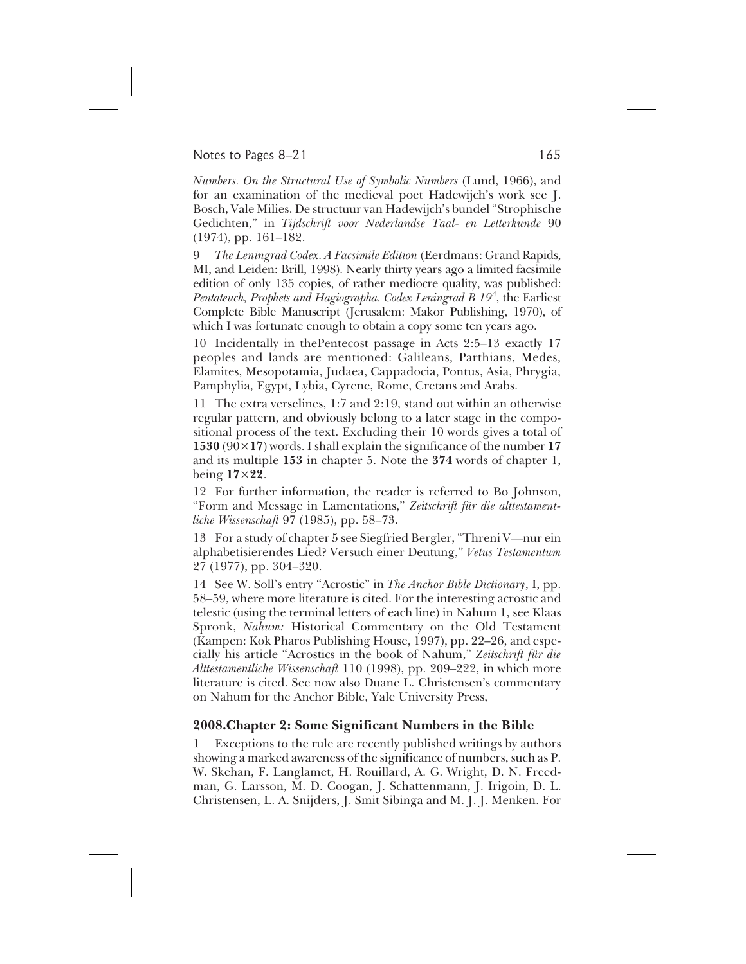### Notes to Pages  $8-21$  165

*Numbers. On the Structural Use of Symbolic Numbers* (Lund, 1966), and for an examination of the medieval poet Hadewijch's work see J. Bosch, Vale Milies. De structuur van Hadewijch's bundel "Strophische Gedichten," in *Tijdschrift voor Nederlandse Taal- en Letterkunde* 90 (1974), pp. 161–182.

9 *The Leningrad Codex. A Facsimile Edition* (Eerdmans: Grand Rapids, MI, and Leiden: Brill, 1998). Nearly thirty years ago a limited facsimile edition of only 135 copies, of rather mediocre quality, was published: Pentateuch, Prophets and Hagiographa. Codex Leningrad B 19<sup>4</sup>, the Earliest Complete Bible Manuscript (Jerusalem: Makor Publishing, 1970), of which I was fortunate enough to obtain a copy some ten years ago.

10 Incidentally in thePentecost passage in Acts 2:5–13 exactly 17 peoples and lands are mentioned: Galileans, Parthians, Medes, Elamites, Mesopotamia, Judaea, Cappadocia, Pontus, Asia, Phrygia, Pamphylia, Egypt, Lybia, Cyrene, Rome, Cretans and Arabs.

11 The extra verselines, 1:7 and 2:19, stand out within an otherwise regular pattern, and obviously belong to a later stage in the compositional process of the text. Excluding their 10 words gives a total of **1530** (90×**17**) words. I shall explain the significance of the number **17** and its multiple **153** in chapter 5. Note the **374** words of chapter 1, being **17**×**22**.

12 For further information, the reader is referred to Bo Johnson, "Form and Message in Lamentations," *Zeitschrift für die alttestamentliche Wissenschaft* 97 (1985), pp. 58–73.

13 For a study of chapter 5 see Siegfried Bergler, "Threni V—nur ein alphabetisierendes Lied? Versuch einer Deutung," *Vetus Testamentum* 27 (1977), pp. 304–320.

14 See W. Soll's entry "Acrostic" in *The Anchor Bible Dictionary*, I, pp. 58–59, where more literature is cited. For the interesting acrostic and telestic (using the terminal letters of each line) in Nahum 1, see Klaas Spronk, *Nahum:* Historical Commentary on the Old Testament (Kampen: Kok Pharos Publishing House, 1997), pp. 22–26, and especially his article "Acrostics in the book of Nahum," *Zeitschrift für die Alttestamentliche Wissenschaft* 110 (1998), pp. 209–222, in which more literature is cited. See now also Duane L. Christensen's commentary on Nahum for the Anchor Bible, Yale University Press,

# **2008.Chapter 2: Some Significant Numbers in the Bible**

1 Exceptions to the rule are recently published writings by authors showing a marked awareness of the significance of numbers, such as P. W. Skehan, F. Langlamet, H. Rouillard, A. G. Wright, D. N. Freedman, G. Larsson, M. D. Coogan, J. Schattenmann, J. Irigoin, D. L. Christensen, L. A. Snijders, J. Smit Sibinga and M. J. J. Menken. For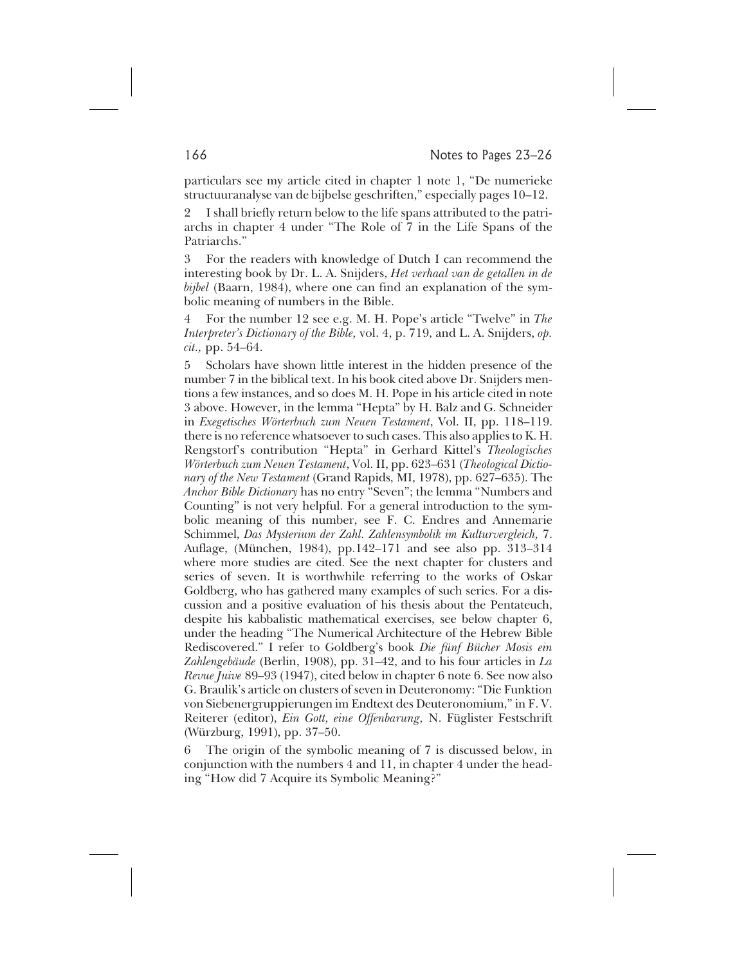particulars see my article cited in chapter 1 note 1, "De numerieke structuuranalyse van de bijbelse geschriften," especially pages 10–12.

2 I shall briefly return below to the life spans attributed to the patriarchs in chapter 4 under "The Role of 7 in the Life Spans of the Patriarchs."

3 For the readers with knowledge of Dutch I can recommend the interesting book by Dr. L. A. Snijders, *Het verhaal van de getallen in de bijbel* (Baarn, 1984), where one can find an explanation of the symbolic meaning of numbers in the Bible.

4 For the number 12 see e.g. M. H. Pope's article "Twelve" in *The Interpreter's Dictionary of the Bible,* vol. 4, p. 719, and L. A. Snijders, *op. cit.,* pp. 54–64.

5 Scholars have shown little interest in the hidden presence of the number 7 in the biblical text. In his book cited above Dr. Snijders mentions a few instances, and so does M. H. Pope in his article cited in note 3 above. However, in the lemma "Hepta" by H. Balz and G. Schneider in *Exegetisches Wörterbuch zum Neuen Testament*, Vol. II, pp. 118–119. there is no reference whatsoever to such cases. This also applies to K. H. Rengstorf's contribution "Hepta" in Gerhard Kittel's *Theologisches Wörterbuch zum Neuen Testament*, Vol. II, pp. 623–631 (*Theological Dictionary of the New Testament* (Grand Rapids, MI, 1978), pp. 627–635). The *Anchor Bible Dictionary* has no entry "Seven"; the lemma "Numbers and Counting" is not very helpful. For a general introduction to the symbolic meaning of this number, see F. C. Endres and Annemarie Schimmel, *Das Mysterium der Zahl. Zahlensymbolik im Kulturvergleich,* 7. Auflage, (München, 1984), pp.142–171 and see also pp. 313–314 where more studies are cited. See the next chapter for clusters and series of seven. It is worthwhile referring to the works of Oskar Goldberg, who has gathered many examples of such series. For a discussion and a positive evaluation of his thesis about the Pentateuch, despite his kabbalistic mathematical exercises, see below chapter 6, under the heading "The Numerical Architecture of the Hebrew Bible Rediscovered." I refer to Goldberg's book *Die fünf Bücher Mosis ein Zahlengebäude* (Berlin, 1908), pp. 31–42, and to his four articles in *La Revue Juive* 89–93 (1947), cited below in chapter 6 note 6. See now also G. Braulik's article on clusters of seven in Deuteronomy: "Die Funktion von Siebenergruppierungen im Endtext des Deuteronomium," in F. V. Reiterer (editor), *Ein Gott, eine Offenbarung,* N. Füglister Festschrift (Würzburg, 1991), pp. 37–50.

6 The origin of the symbolic meaning of 7 is discussed below, in conjunction with the numbers 4 and 11, in chapter 4 under the heading "How did 7 Acquire its Symbolic Meaning?"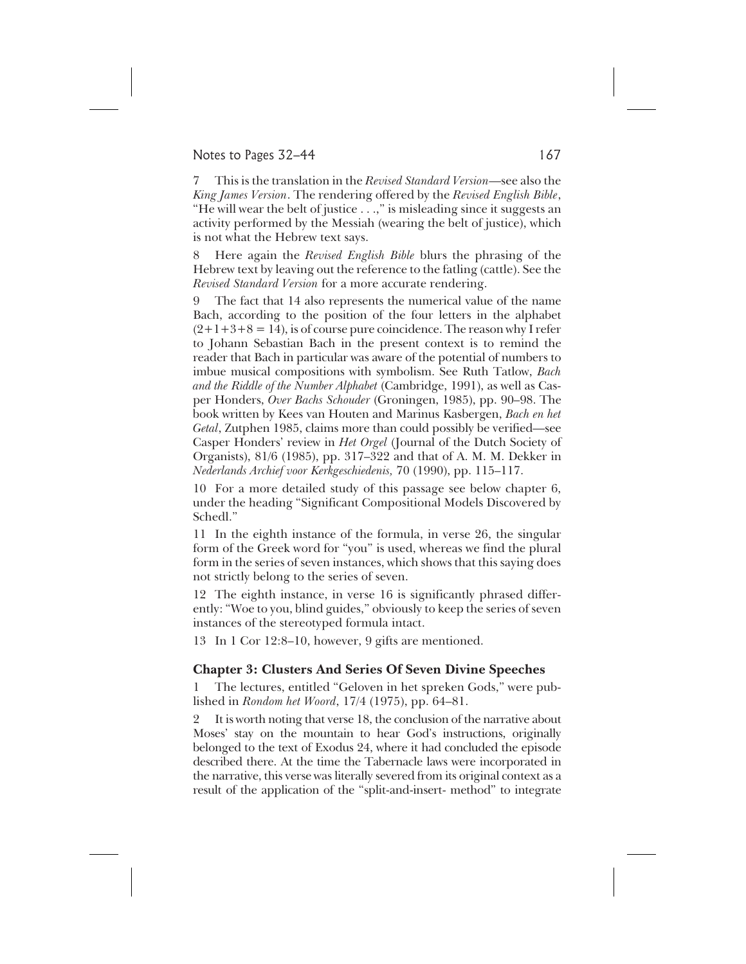#### Notes to Pages 32–44 167

7 This is the translation in the *Revised Standard Version*—see also the *King James Version*. The rendering offered by the *Revised English Bible*, "He will wear the belt of justice . . .," is misleading since it suggests an activity performed by the Messiah (wearing the belt of justice), which is not what the Hebrew text says.

8 Here again the *Revised English Bible* blurs the phrasing of the Hebrew text by leaving out the reference to the fatling (cattle). See the *Revised Standard Version* for a more accurate rendering.

The fact that 14 also represents the numerical value of the name Bach, according to the position of the four letters in the alphabet  $(2+1+3+8=14)$ , is of course pure coincidence. The reason why I refer to Johann Sebastian Bach in the present context is to remind the reader that Bach in particular was aware of the potential of numbers to imbue musical compositions with symbolism. See Ruth Tatlow, *Bach and the Riddle of the Number Alphabet* (Cambridge, 1991), as well as Casper Honders, *Over Bachs Schouder* (Groningen, 1985), pp. 90–98. The book written by Kees van Houten and Marinus Kasbergen, *Bach en het Getal*, Zutphen 1985, claims more than could possibly be verified—see Casper Honders' review in *Het Orgel* (Journal of the Dutch Society of Organists), 81/6 (1985), pp. 317–322 and that of A. M. M. Dekker in *Nederlands Archief voor Kerkgeschiedenis,* 70 (1990), pp. 115–117.

10 For a more detailed study of this passage see below chapter 6, under the heading "Significant Compositional Models Discovered by Schedl."

11 In the eighth instance of the formula, in verse 26, the singular form of the Greek word for "you" is used, whereas we find the plural form in the series of seven instances, which shows that this saying does not strictly belong to the series of seven.

12 The eighth instance, in verse 16 is significantly phrased differently: "Woe to you, blind guides," obviously to keep the series of seven instances of the stereotyped formula intact.

13 In 1 Cor 12:8–10, however, 9 gifts are mentioned.

#### **Chapter 3: Clusters And Series Of Seven Divine Speeches**

1 The lectures, entitled "Geloven in het spreken Gods," were published in *Rondom het Woord*, 17/4 (1975), pp. 64–81.

2 It is worth noting that verse 18, the conclusion of the narrative about Moses' stay on the mountain to hear God's instructions, originally belonged to the text of Exodus 24, where it had concluded the episode described there. At the time the Tabernacle laws were incorporated in the narrative, this verse was literally severed from its original context as a result of the application of the "split-and-insert- method" to integrate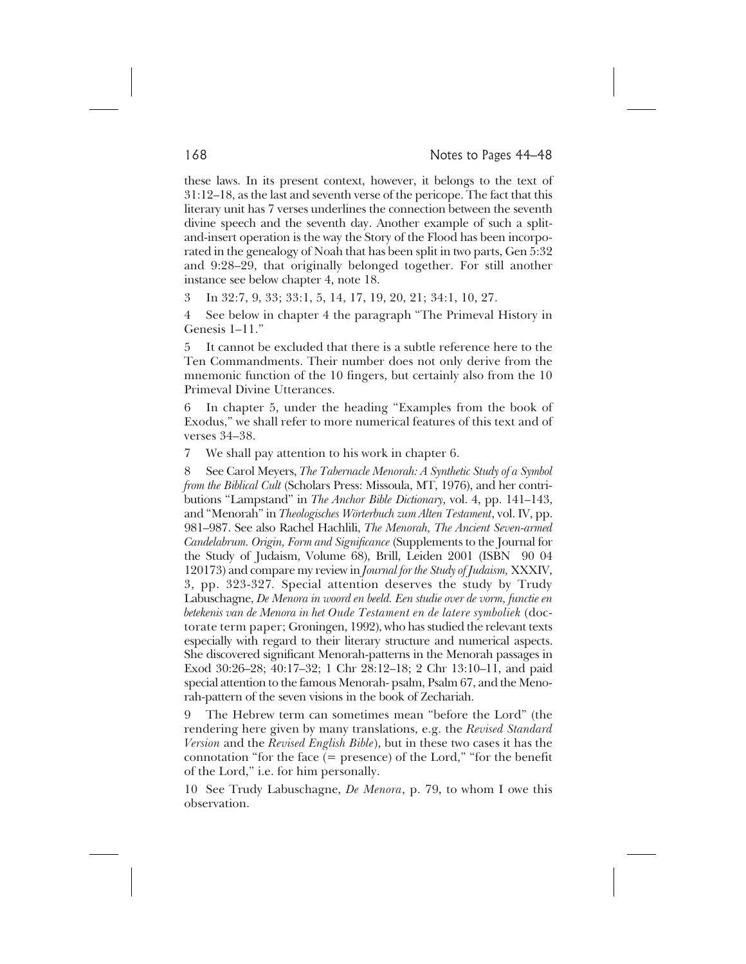these laws. In its present context, however, it belongs to the text of 31:12–18, as the last and seventh verse of the pericope. The fact that this literary unit has 7 verses underlines the connection between the seventh divine speech and the seventh day. Another example of such a splitand-insert operation is the way the Story of the Flood has been incorporated in the genealogy of Noah that has been split in two parts, Gen 5:32 and 9:28–29, that originally belonged together. For still another instance see below chapter 4, note 18.

3 In 32:7, 9, 33; 33:1, 5, 14, 17, 19, 20, 21; 34:1, 10, 27.

4 See below in chapter 4 the paragraph "The Primeval History in Genesis 1–11."

5 It cannot be excluded that there is a subtle reference here to the Ten Commandments. Their number does not only derive from the mnemonic function of the 10 fingers, but certainly also from the 10 Primeval Divine Utterances.

In chapter 5, under the heading "Examples from the book of Exodus," we shall refer to more numerical features of this text and of verses 34–38.

7 We shall pay attention to his work in chapter 6.

8 See Carol Meyers, *The Tabernacle Menorah: A Synthetic Study of a Symbol from the Biblical Cult* (Scholars Press: Missoula, MT, 1976), and her contributions "Lampstand" in *The Anchor Bible Dictionary*, vol. 4, pp. 141–143, and "Menorah" in *Theologisches Wörterbuch zum Alten Testament*, vol. IV, pp. 981–987. See also Rachel Hachlili, *The Menorah, The Ancient Seven-armed Candelabrum. Origin, Form and Significance* (Supplements to the Journal for the Study of Judaism, Volume 68), Brill, Leiden 2001 (ISBN 90 04 120173) and compare my review in *Journal for the Study of Judaism,* XXXIV, 3, pp. 323-327*.* Special attention deserves the study by Trudy Labuschagne, *De Menora in woord en beeld. Een studie over de vorm, functie en betekenis van de Menora in het Oude Testament en de latere symboliek* (doctorate term paper; Groningen, 1992), who has studied the relevant texts especially with regard to their literary structure and numerical aspects. She discovered significant Menorah-patterns in the Menorah passages in Exod 30:26–28; 40:17–32; 1 Chr 28:12–18; 2 Chr 13:10–11, and paid special attention to the famous Menorah- psalm, Psalm 67, and the Menorah-pattern of the seven visions in the book of Zechariah.

9 The Hebrew term can sometimes mean "before the Lord" (the rendering here given by many translations, e.g. the *Revised Standard Version* and the *Revised English Bible*), but in these two cases it has the connotation "for the face (= presence) of the Lord," "for the benefit of the Lord," i.e. for him personally.

10 See Trudy Labuschagne, *De Menora*, p. 79, to whom I owe this observation.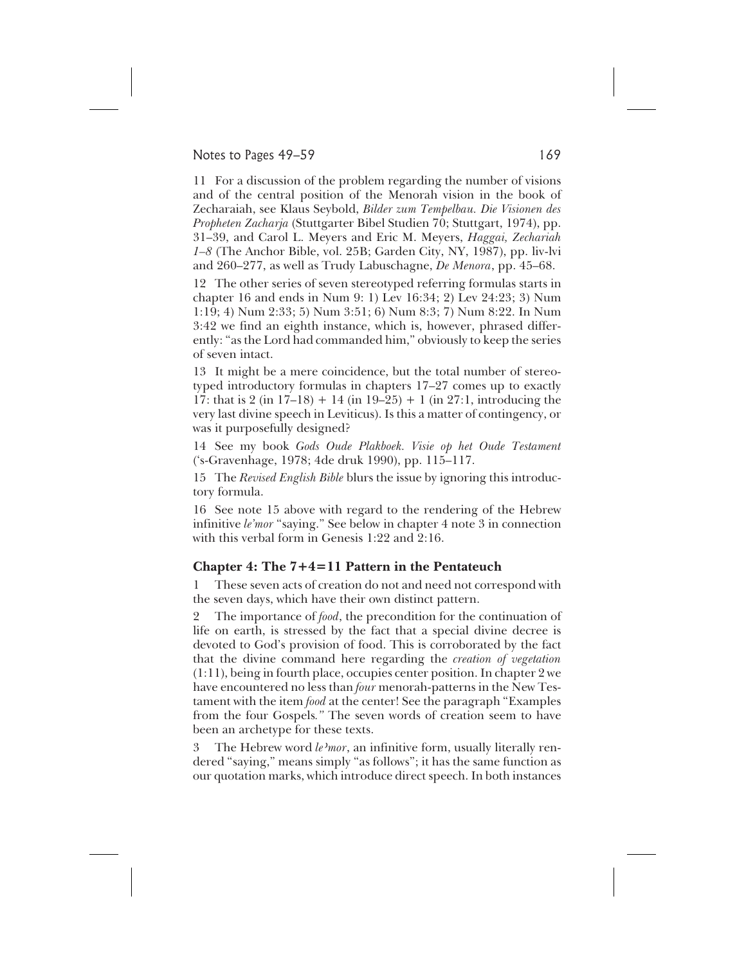#### Notes to Pages 49–59 169

11 For a discussion of the problem regarding the number of visions and of the central position of the Menorah vision in the book of Zecharaiah, see Klaus Seybold, *Bilder zum Tempelbau. Die Visionen des Propheten Zacharja* (Stuttgarter Bibel Studien 70; Stuttgart, 1974), pp. 31–39, and Carol L. Meyers and Eric M. Meyers, *Haggai, Zechariah 1–8* (The Anchor Bible, vol. 25B; Garden City, NY, 1987), pp. liv-lvi and 260–277, as well as Trudy Labuschagne, *De Menora*, pp. 45–68.

12 The other series of seven stereotyped referring formulas starts in chapter 16 and ends in Num 9: 1) Lev 16:34; 2) Lev 24:23; 3) Num 1:19; 4) Num 2:33; 5) Num 3:51; 6) Num 8:3; 7) Num 8:22. In Num 3:42 we find an eighth instance, which is, however, phrased differently: "as the Lord had commanded him," obviously to keep the series of seven intact.

13 It might be a mere coincidence, but the total number of stereotyped introductory formulas in chapters 17–27 comes up to exactly 17: that is 2 (in 17–18) + 14 (in 19–25) + 1 (in 27:1, introducing the very last divine speech in Leviticus). Is this a matter of contingency, or was it purposefully designed?

14 See my book *Gods Oude Plakboek. Visie op het Oude Testament* ('s-Gravenhage, 1978; 4de druk 1990), pp. 115–117.

15 The *Revised English Bible* blurs the issue by ignoring this introductory formula.

16 See note 15 above with regard to the rendering of the Hebrew infinitive *le'mor* "saying." See below in chapter 4 note 3 in connection with this verbal form in Genesis 1:22 and 2:16.

#### **Chapter 4: The 7+4=11 Pattern in the Pentateuch**

1 These seven acts of creation do not and need not correspond with the seven days, which have their own distinct pattern.

2 The importance of *food*, the precondition for the continuation of life on earth, is stressed by the fact that a special divine decree is devoted to God's provision of food. This is corroborated by the fact that the divine command here regarding the *creation of vegetation* (1:11), being in fourth place, occupies center position. In chapter 2 we have encountered no less than *four* menorah-patterns in the New Testament with the item *food* at the center! See the paragraph "Examples from the four Gospels*."* The seven words of creation seem to have been an archetype for these texts.

3 The Hebrew word *le mor*, an infinitive form, usually literally rendered "saying," means simply "as follows"; it has the same function as our quotation marks, which introduce direct speech. In both instances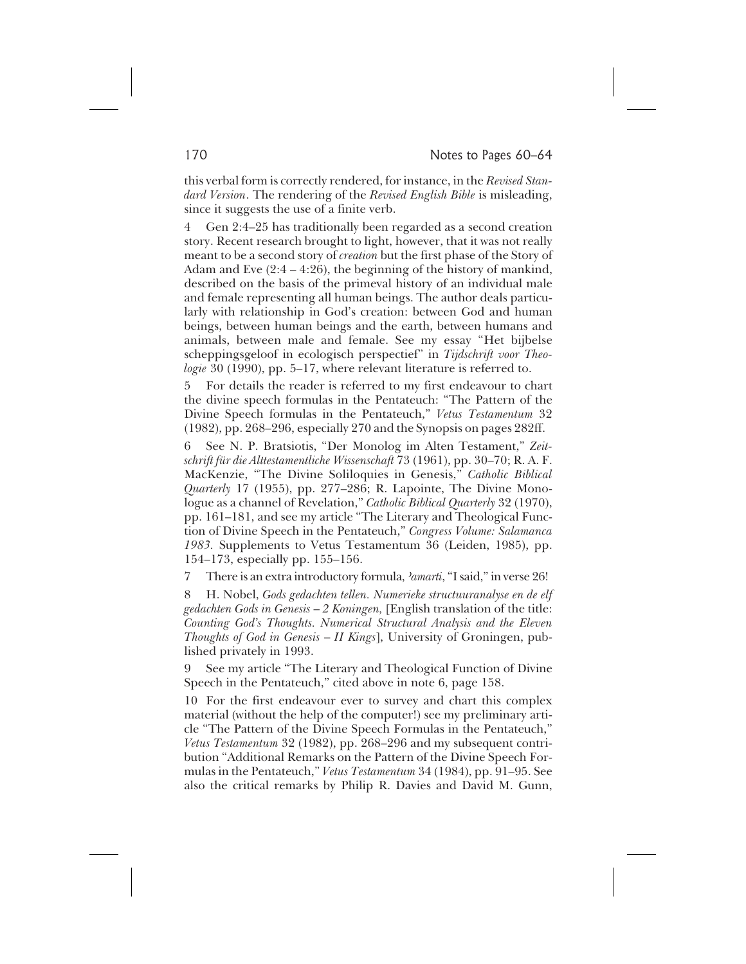this verbal form is correctly rendered, for instance, in the *Revised Standard Version*. The rendering of the *Revised English Bible* is misleading, since it suggests the use of a finite verb.

4 Gen 2:4–25 has traditionally been regarded as a second creation story. Recent research brought to light, however, that it was not really meant to be a second story of *creation* but the first phase of the Story of Adam and Eve (2:4 – 4:26), the beginning of the history of mankind, described on the basis of the primeval history of an individual male and female representing all human beings. The author deals particularly with relationship in God's creation: between God and human beings, between human beings and the earth, between humans and animals, between male and female. See my essay "Het bijbelse scheppingsgeloof in ecologisch perspectief" in *Tijdschrift voor Theologie* 30 (1990), pp. 5–17, where relevant literature is referred to.

5 For details the reader is referred to my first endeavour to chart the divine speech formulas in the Pentateuch: "The Pattern of the Divine Speech formulas in the Pentateuch," *Vetus Testamentum* 32 (1982), pp. 268–296, especially 270 and the Synopsis on pages 282ff.

6 See N. P. Bratsiotis, "Der Monolog im Alten Testament," *Zeitschrift für die Alttestamentliche Wissenschaft* 73 (1961), pp. 30–70; R. A. F. MacKenzie, "The Divine Soliloquies in Genesis," *Catholic Biblical Quarterly* 17 (1955), pp. 277–286; R. Lapointe, The Divine Monologue as a channel of Revelation," *Catholic Biblical Quarterly* 32 (1970), pp. 161–181, and see my article "The Literary and Theological Function of Divine Speech in the Pentateuch," *Congress Volume: Salamanca 1983.* Supplements to Vetus Testamentum 36 (Leiden, 1985), pp. 154–173, especially pp. 155–156.

7 There is an extra introductory formula, *aamarti*, "I said," in verse 26!

8 H. Nobel, *Gods gedachten tellen. Numerieke structuuranalyse en de elf gedachten Gods in Genesis* – *2 Koningen,* [English translation of the title: *Counting God's Thoughts. Numerical Structural Analysis and the Eleven Thoughts of God in Genesis* – *II Kings*], University of Groningen, published privately in 1993.

9 See my article "The Literary and Theological Function of Divine Speech in the Pentateuch," cited above in note 6, page 158.

10 For the first endeavour ever to survey and chart this complex material (without the help of the computer!) see my preliminary article "The Pattern of the Divine Speech Formulas in the Pentateuch," *Vetus Testamentum* 32 (1982), pp. 268–296 and my subsequent contribution "Additional Remarks on the Pattern of the Divine Speech Formulas in the Pentateuch," *Vetus Testamentum* 34 (1984), pp. 91–95. See also the critical remarks by Philip R. Davies and David M. Gunn,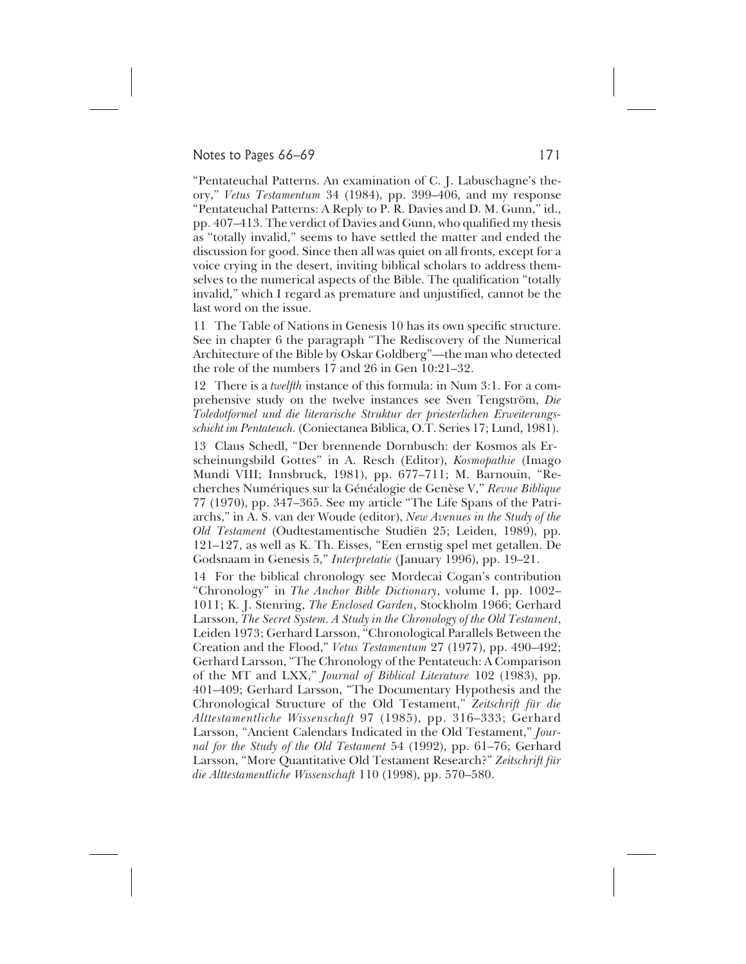#### Notes to Pages 66–69 171

"Pentateuchal Patterns. An examination of C. J. Labuschagne's theory," *Vetus Testamentum* 34 (1984), pp. 399–406, and my response "Pentateuchal Patterns: A Reply to P. R. Davies and D. M. Gunn," id., pp. 407–413. The verdict of Davies and Gunn, who qualified my thesis as "totally invalid," seems to have settled the matter and ended the discussion for good. Since then all was quiet on all fronts, except for a voice crying in the desert, inviting biblical scholars to address themselves to the numerical aspects of the Bible. The qualification "totally invalid," which I regard as premature and unjustified, cannot be the last word on the issue.

11 The Table of Nations in Genesis 10 has its own specific structure. See in chapter 6 the paragraph "The Rediscovery of the Numerical Architecture of the Bible by Oskar Goldberg"—the man who detected the role of the numbers 17 and 26 in Gen 10:21–32.

12 There is a *twelfth* instance of this formula: in Num 3:1. For a comprehensive study on the twelve instances see Sven Tengström, *Die Toledotformel und die literarische Struktur der priesterlichen Erweiterungsschicht im Pentateuch.* (Coniectanea Biblica, O.T. Series 17; Lund, 1981).

13 Claus Schedl, "Der brennende Dornbusch: der Kosmos als Erscheinungsbild Gottes" in A. Resch (Editor), *Kosmopathie* (Imago Mundi VIII; Innsbruck, 1981), pp. 677–711; M. Barnouin, "Recherches Numériques sur la Généalogie de Genèse V," *Revue Biblique* 77 (1970), pp. 347–365. See my article "The Life Spans of the Patriarchs," in A. S. van der Woude (editor), *New Avenues in the Study of the Old Testament* (Oudtestamentische Studiën 25; Leiden, 1989), pp. 121–127, as well as K. Th. Eisses, "Een ernstig spel met getallen. De Godsnaam in Genesis 5," *Interpretatie* (January 1996), pp. 19–21.

14 For the biblical chronology see Mordecai Cogan's contribution "Chronology" in *The Anchor Bible Dictionary*, volume I, pp. 1002– 1011; K. J. Stenring, *The Enclosed Garden*, Stockholm 1966; Gerhard Larsson, *The Secret System. A Study in the Chronology of the Old Testament*, Leiden 1973; Gerhard Larsson, "Chronological Parallels Between the Creation and the Flood," *Vetus Testamentum* 27 (1977), pp. 490–492; Gerhard Larsson, "The Chronology of the Pentateuch: A Comparison of the MT and LXX," *Journal of Biblical Literature* 102 (1983), pp. 401–409; Gerhard Larsson, "The Documentary Hypothesis and the Chronological Structure of the Old Testament," *Zeitschrift für die Alttestamentliche Wissenschaft* 97 (1985), pp. 316–333; Gerhard Larsson, "Ancient Calendars Indicated in the Old Testament," *Journal for the Study of the Old Testament* 54 (1992), pp. 61–76; Gerhard Larsson, "More Quantitative Old Testament Research?" *Zeitschrift für die Alttestamentliche Wissenschaft* 110 (1998), pp. 570–580.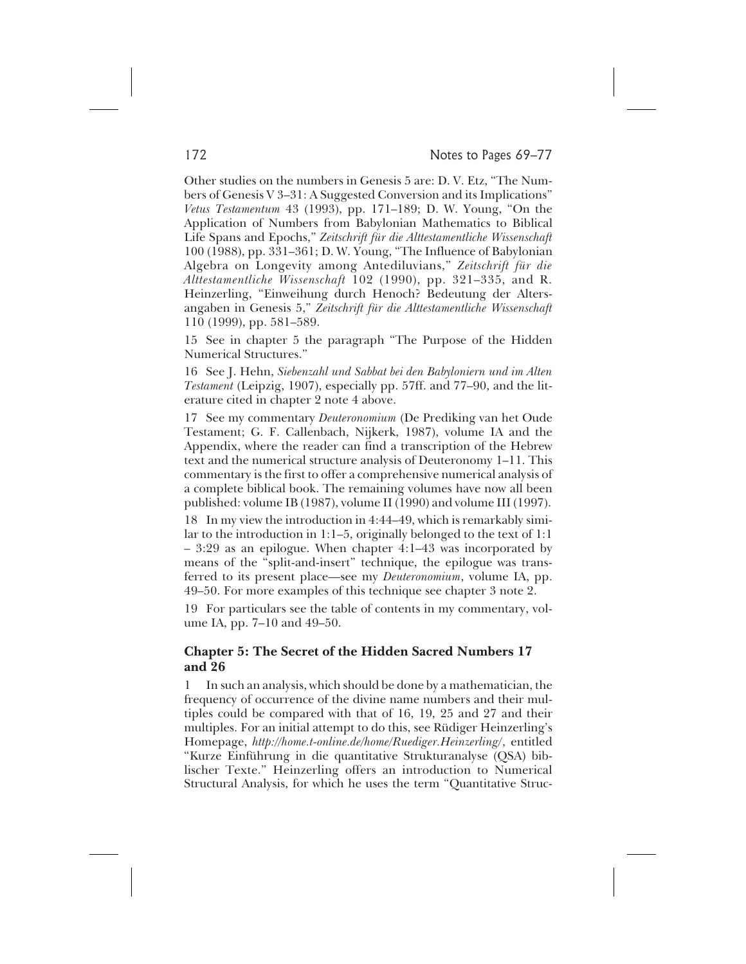Other studies on the numbers in Genesis 5 are: D. V. Etz, "The Numbers of Genesis V 3–31: A Suggested Conversion and its Implications" *Vetus Testamentum* 43 (1993), pp. 171–189; D. W. Young, "On the Application of Numbers from Babylonian Mathematics to Biblical Life Spans and Epochs," *Zeitschrift für die Alttestamentliche Wissenschaft* 100 (1988), pp. 331–361; D. W. Young, "The Influence of Babylonian Algebra on Longevity among Antediluvians," *Zeitschrift für die Alttestamentliche Wissenschaft* 102 (1990), pp. 321–335, and R. Heinzerling, "Einweihung durch Henoch? Bedeutung der Altersangaben in Genesis 5," *Zeitschrift für die Alttestamentliche Wissenschaft* 110 (1999), pp. 581–589.

15 See in chapter 5 the paragraph "The Purpose of the Hidden Numerical Structures."

16 See J. Hehn, *Siebenzahl und Sabbat bei den Babyloniern und im Alten Testament* (Leipzig, 1907), especially pp. 57ff. and 77–90, and the literature cited in chapter 2 note 4 above.

17 See my commentary *Deuteronomium* (De Prediking van het Oude Testament; G. F. Callenbach, Nijkerk, 1987), volume IA and the Appendix, where the reader can find a transcription of the Hebrew text and the numerical structure analysis of Deuteronomy 1–11. This commentary is the first to offer a comprehensive numerical analysis of a complete biblical book. The remaining volumes have now all been published: volume IB (1987), volume II (1990) and volume III (1997).

18 In my view the introduction in 4:44–49, which is remarkably similar to the introduction in 1:1–5, originally belonged to the text of 1:1 – 3:29 as an epilogue. When chapter 4:1–43 was incorporated by means of the "split-and-insert" technique, the epilogue was transferred to its present place—see my *Deuteronomium*, volume IA, pp. 49–50. For more examples of this technique see chapter 3 note 2.

19 For particulars see the table of contents in my commentary, volume IA, pp. 7–10 and 49–50.

## **Chapter 5: The Secret of the Hidden Sacred Numbers 17 and 26**

1 In such an analysis, which should be done by a mathematician, the frequency of occurrence of the divine name numbers and their multiples could be compared with that of 16, 19, 25 and 27 and their multiples. For an initial attempt to do this, see Rüdiger Heinzerling's Homepage, *http://home.t-online.de/home/Ruediger.Heinzerling/*, entitled "Kurze Einführung in die quantitative Strukturanalyse (QSA) biblischer Texte." Heinzerling offers an introduction to Numerical Structural Analysis, for which he uses the term "Quantitative Struc-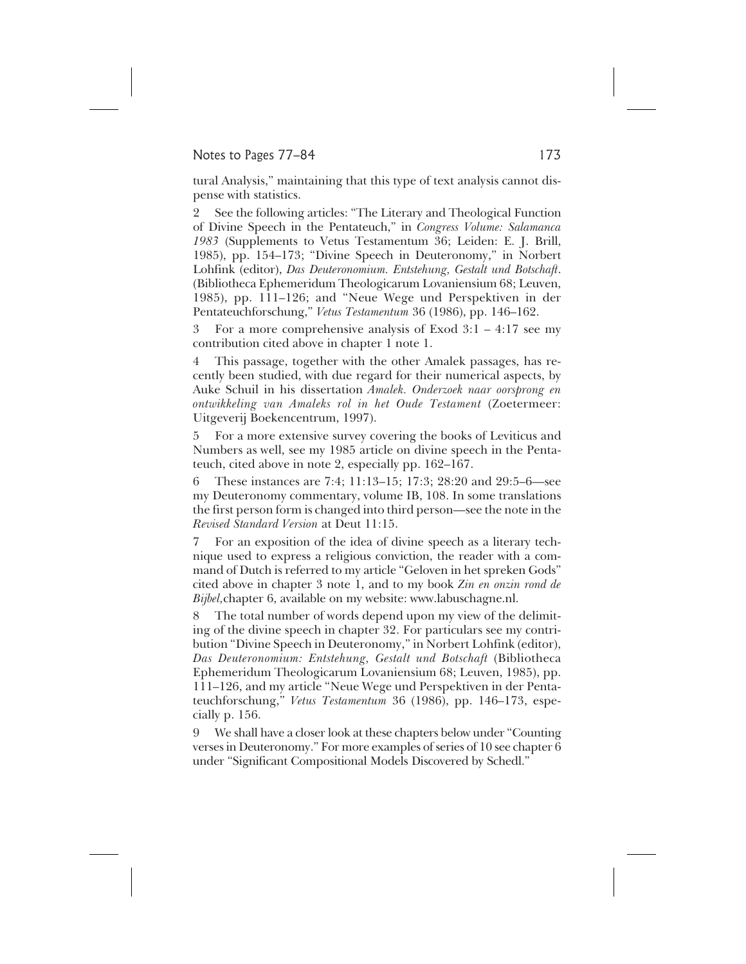### Notes to Pages 77–84 173

tural Analysis," maintaining that this type of text analysis cannot dispense with statistics.

2 See the following articles: "The Literary and Theological Function of Divine Speech in the Pentateuch," in *Congress Volume: Salamanca 1983* (Supplements to Vetus Testamentum 36; Leiden: E. J. Brill, 1985), pp. 154–173; "Divine Speech in Deuteronomy," in Norbert Lohfink (editor), *Das Deuteronomium. Entstehung, Gestalt und Botschaft*. (Bibliotheca Ephemeridum Theologicarum Lovaniensium 68; Leuven, 1985), pp. 111–126; and "Neue Wege und Perspektiven in der Pentateuchforschung," *Vetus Testamentum* 36 (1986), pp. 146–162.

3 For a more comprehensive analysis of Exod 3:1 – 4:17 see my contribution cited above in chapter 1 note 1.

4 This passage, together with the other Amalek passages, has recently been studied, with due regard for their numerical aspects, by Auke Schuil in his dissertation *Amalek. Onderzoek naar oorsprong en ontwikkeling van Amaleks rol in het Oude Testament* (Zoetermeer: Uitgeverij Boekencentrum, 1997).

5 For a more extensive survey covering the books of Leviticus and Numbers as well, see my 1985 article on divine speech in the Pentateuch, cited above in note 2, especially pp. 162–167.

6 These instances are 7:4; 11:13–15; 17:3; 28:20 and 29:5–6—see my Deuteronomy commentary, volume IB, 108. In some translations the first person form is changed into third person—see the note in the *Revised Standard Version* at Deut 11:15.

7 For an exposition of the idea of divine speech as a literary technique used to express a religious conviction, the reader with a command of Dutch is referred to my article "Geloven in het spreken Gods" cited above in chapter 3 note 1, and to my book *Zin en onzin rond de Bijbel,*chapter 6, available on my website: www.labuschagne.nl.

8 The total number of words depend upon my view of the delimiting of the divine speech in chapter 32. For particulars see my contribution "Divine Speech in Deuteronomy," in Norbert Lohfink (editor), *Das Deuteronomium: Entstehung, Gestalt und Botschaft* (Bibliotheca Ephemeridum Theologicarum Lovaniensium 68; Leuven, 1985), pp. 111–126, and my article "Neue Wege und Perspektiven in der Pentateuchforschung," *Vetus Testamentum* 36 (1986), pp. 146–173, especially p. 156.

9 We shall have a closer look at these chapters below under "Counting verses in Deuteronomy." For more examples of series of 10 see chapter 6 under "Significant Compositional Models Discovered by Schedl."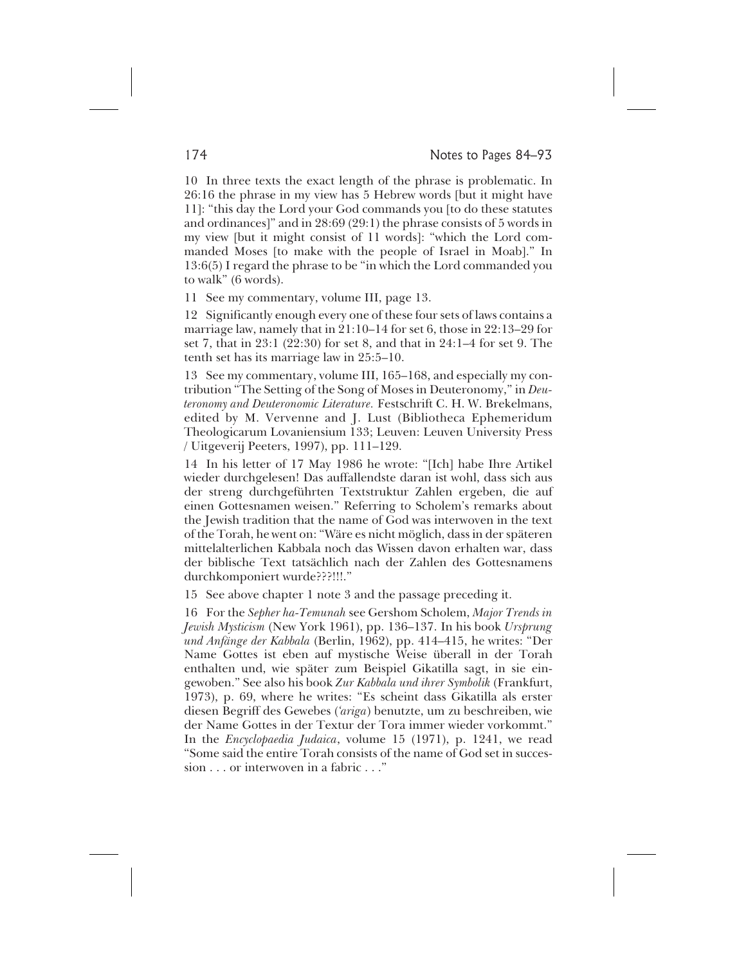10 In three texts the exact length of the phrase is problematic. In 26:16 the phrase in my view has 5 Hebrew words [but it might have 11]: "this day the Lord your God commands you [to do these statutes and ordinances]" and in 28:69 (29:1) the phrase consists of 5 words in my view [but it might consist of 11 words]: "which the Lord commanded Moses [to make with the people of Israel in Moab]." In 13:6(5) I regard the phrase to be "in which the Lord commanded you to walk" (6 words).

11 See my commentary, volume III, page 13.

12 Significantly enough every one of these four sets of laws contains a marriage law, namely that in 21:10–14 for set 6, those in 22:13–29 for set 7, that in 23:1 (22:30) for set 8, and that in 24:1–4 for set 9. The tenth set has its marriage law in 25:5–10.

13 See my commentary, volume III, 165–168, and especially my contribution "The Setting of the Song of Moses in Deuteronomy," in *Deuteronomy and Deuteronomic Literature.* Festschrift C. H. W. Brekelmans, edited by M. Vervenne and J. Lust (Bibliotheca Ephemeridum Theologicarum Lovaniensium 133; Leuven: Leuven University Press / Uitgeverij Peeters, 1997), pp. 111–129.

14 In his letter of 17 May 1986 he wrote: "[Ich] habe Ihre Artikel wieder durchgelesen! Das auffallendste daran ist wohl, dass sich aus der streng durchgeführten Textstruktur Zahlen ergeben, die auf einen Gottesnamen weisen." Referring to Scholem's remarks about the Jewish tradition that the name of God was interwoven in the text of the Torah, he went on: "Wäre es nicht möglich, dass in der späteren mittelalterlichen Kabbala noch das Wissen davon erhalten war, dass der biblische Text tatsächlich nach der Zahlen des Gottesnamens durchkomponiert wurde???!!!."

15 See above chapter 1 note 3 and the passage preceding it.

16 For the *Sepher ha-Temunah* see Gershom Scholem, *Major Trends in Jewish Mysticism* (New York 1961), pp. 136–137. In his book *Ursprung und Anfänge der Kabbala* (Berlin, 1962), pp. 414–415, he writes: "Der Name Gottes ist eben auf mystische Weise überall in der Torah enthalten und, wie später zum Beispiel Gikatilla sagt, in sie eingewoben." See also his book *Zur Kabbala und ihrer Symbolik* (Frankfurt, 1973), p. 69, where he writes: "Es scheint dass Gikatilla als erster diesen Begriff des Gewebes (*'ariga*) benutzte, um zu beschreiben, wie der Name Gottes in der Textur der Tora immer wieder vorkommt." In the *Encyclopaedia Judaica*, volume 15 (1971), p. 1241, we read "Some said the entire Torah consists of the name of God set in succession . . . or interwoven in a fabric . . ."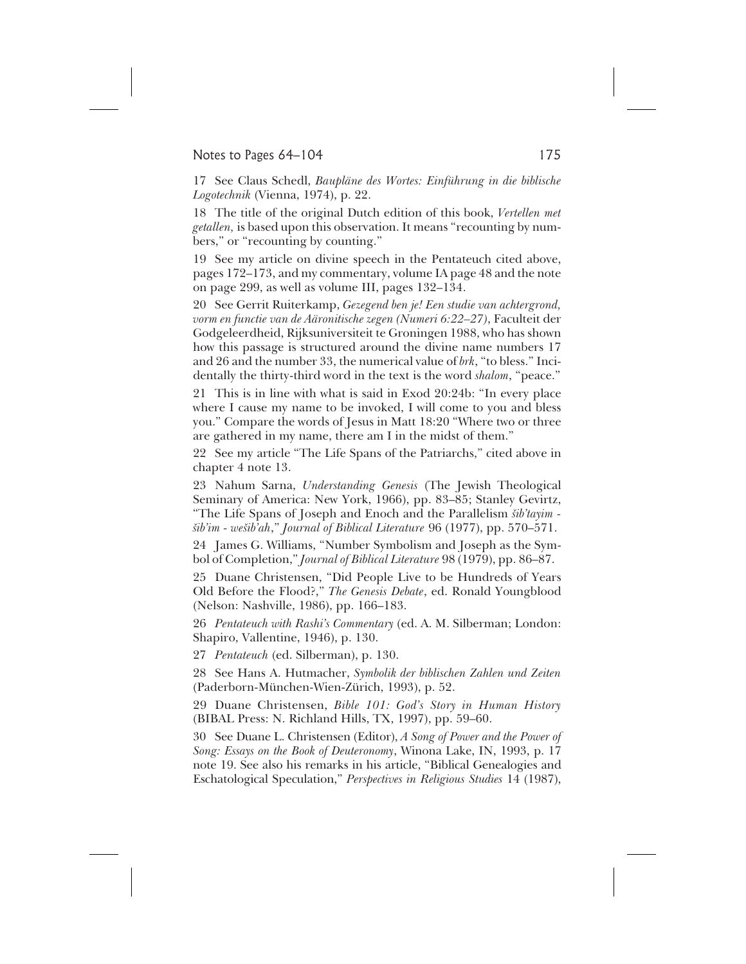### Notes to Pages 64–104 175

17 See Claus Schedl, *Baupläne des Wortes: Einführung in die biblische Logotechnik* (Vienna, 1974), p. 22.

18 The title of the original Dutch edition of this book, *Vertellen met getallen,* is based upon this observation. It means "recounting by numbers," or "recounting by counting."

19 See my article on divine speech in the Pentateuch cited above, pages 172–173, and my commentary, volume IA page 48 and the note on page 299, as well as volume III, pages 132–134.

20 See Gerrit Ruiterkamp, *Gezegend ben je! Een studie van achtergrond, vorm en functie van de Aäronitische zegen (Numeri 6:22–27)*, Faculteit der Godgeleerdheid, Rijksuniversiteit te Groningen 1988, who has shown how this passage is structured around the divine name numbers 17 and 26 and the number 33, the numerical value of *brk*, "to bless." Incidentally the thirty-third word in the text is the word *shalom*, "peace."

21 This is in line with what is said in Exod 20:24b: "In every place where I cause my name to be invoked, I will come to you and bless you." Compare the words of Jesus in Matt 18:20 "Where two or three are gathered in my name, there am I in the midst of them."

22 See my article "The Life Spans of the Patriarchs," cited above in chapter 4 note 13.

23 Nahum Sarna, *Understanding Genesis* (The Jewish Theological Seminary of America: New York, 1966), pp. 83–85; Stanley Gevirtz, "The Life Spans of Joseph and Enoch and the Parallelism *šib'tayim šib'im - wešib'ah*," *Journal of Biblical Literature* 96 (1977), pp. 570–571.

24 James G. Williams, "Number Symbolism and Joseph as the Symbol of Completion," *Journal of Biblical Literature* 98 (1979), pp. 86–87.

25 Duane Christensen, "Did People Live to be Hundreds of Years Old Before the Flood?," *The Genesis Debate*, ed. Ronald Youngblood (Nelson: Nashville, 1986), pp. 166–183.

26 *Pentateuch with Rashi's Commentary* (ed. A. M. Silberman; London: Shapiro, Vallentine, 1946), p. 130.

27 *Pentateuch* (ed. Silberman), p. 130.

28 See Hans A. Hutmacher, *Symbolik der biblischen Zahlen und Zeiten* (Paderborn-München-Wien-Zürich, 1993), p. 52.

29 Duane Christensen, *Bible 101: God's Story in Human History* (BIBAL Press: N. Richland Hills, TX, 1997), pp. 59–60.

30 See Duane L. Christensen (Editor), *A Song of Power and the Power of Song: Essays on the Book of Deuteronomy*, Winona Lake, IN, 1993, p. 17 note 19. See also his remarks in his article, "Biblical Genealogies and Eschatological Speculation," *Perspectives in Religious Studies* 14 (1987),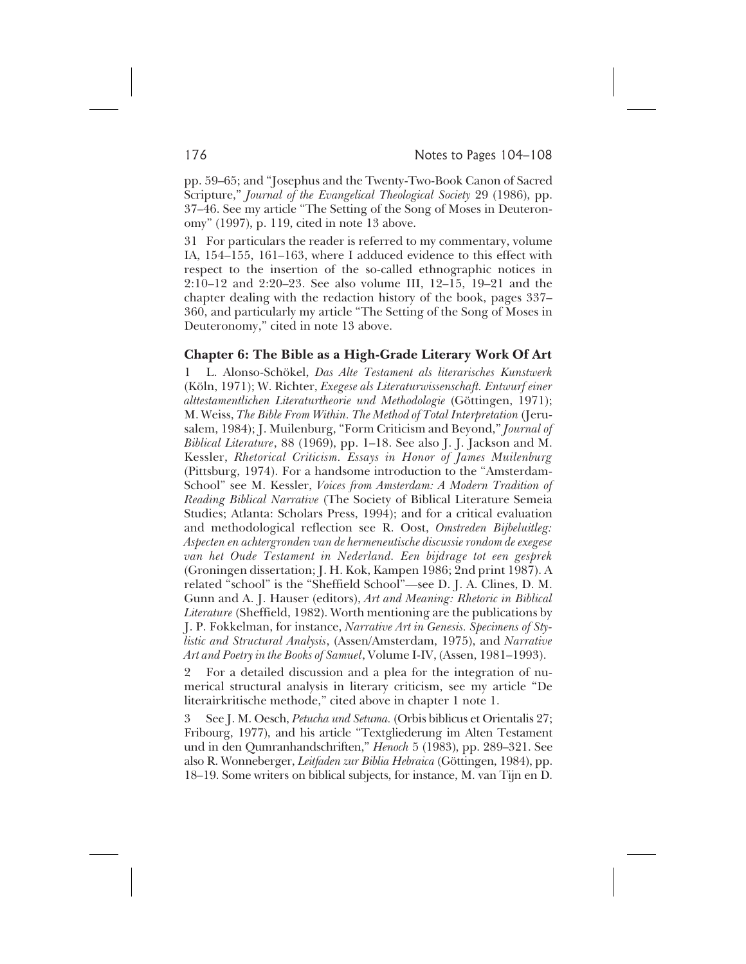pp. 59–65; and "Josephus and the Twenty-Two-Book Canon of Sacred Scripture," *Journal of the Evangelical Theological Society* 29 (1986), pp. 37–46. See my article "The Setting of the Song of Moses in Deuteronomy" (1997), p. 119, cited in note 13 above.

31 For particulars the reader is referred to my commentary, volume IA, 154–155, 161–163, where I adduced evidence to this effect with respect to the insertion of the so-called ethnographic notices in 2:10–12 and 2:20–23. See also volume III, 12–15, 19–21 and the chapter dealing with the redaction history of the book, pages 337– 360, and particularly my article "The Setting of the Song of Moses in Deuteronomy," cited in note 13 above.

#### **Chapter 6: The Bible as a High-Grade Literary Work Of Art**

1 L. Alonso-Schökel, *Das Alte Testament als literarisches Kunstwerk* (Köln, 1971); W. Richter, *Exegese als Literaturwissenschaft. Entwurf einer alttestamentlichen Literaturtheorie und Methodologie* (Göttingen, 1971); M. Weiss, *The Bible From Within. The Method of Total Interpretation* (Jerusalem, 1984); J. Muilenburg, "Form Criticism and Beyond," *Journal of Biblical Literature*, 88 (1969), pp. 1–18. See also J. J. Jackson and M. Kessler, *Rhetorical Criticism. Essays in Honor of James Muilenburg* (Pittsburg, 1974). For a handsome introduction to the "Amsterdam-School" see M. Kessler, *Voices from Amsterdam: A Modern Tradition of Reading Biblical Narrative* (The Society of Biblical Literature Semeia Studies; Atlanta: Scholars Press, 1994); and for a critical evaluation and methodological reflection see R. Oost, *Omstreden Bijbeluitleg: Aspecten en achtergronden van de hermeneutische discussie rondom de exegese van het Oude Testament in Nederland. Een bijdrage tot een gesprek* (Groningen dissertation; J. H. Kok, Kampen 1986; 2nd print 1987). A related "school" is the "Sheffield School"—see D. J. A. Clines, D. M. Gunn and A. J. Hauser (editors), *Art and Meaning: Rhetoric in Biblical Literature* (Sheffield, 1982). Worth mentioning are the publications by J. P. Fokkelman, for instance, *Narrative Art in Genesis. Specimens of Stylistic and Structural Analysis*, (Assen/Amsterdam, 1975), and *Narrative Art and Poetry in the Books of Samuel*, Volume I-IV, (Assen, 1981–1993).

2 For a detailed discussion and a plea for the integration of numerical structural analysis in literary criticism, see my article "De literairkritische methode," cited above in chapter 1 note 1.

3 See J. M. Oesch, *Petucha und Setuma.* (Orbis biblicus et Orientalis 27; Fribourg, 1977), and his article "Textgliederung im Alten Testament und in den Qumranhandschriften," *Henoch* 5 (1983), pp. 289–321. See also R. Wonneberger, *Leitfaden zur Biblia Hebraica* (Göttingen, 1984), pp. 18–19. Some writers on biblical subjects, for instance, M. van Tijn en D.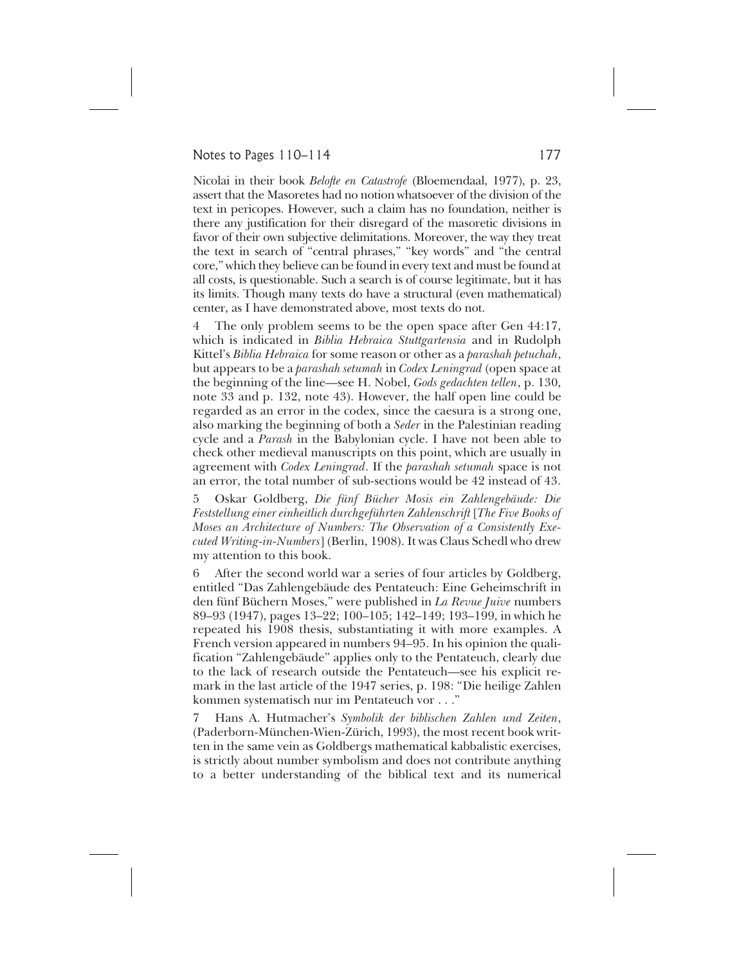## Notes to Pages 110–114 177

Nicolai in their book *Belofte en Catastrofe* (Bloemendaal, 1977), p. 23, assert that the Masoretes had no notion whatsoever of the division of the text in pericopes. However, such a claim has no foundation, neither is there any justification for their disregard of the masoretic divisions in favor of their own subjective delimitations. Moreover, the way they treat the text in search of "central phrases," "key words" and "the central core," which they believe can be found in every text and must be found at all costs, is questionable. Such a search is of course legitimate, but it has its limits. Though many texts do have a structural (even mathematical) center, as I have demonstrated above, most texts do not.

4 The only problem seems to be the open space after Gen 44:17, which is indicated in *Biblia Hebraica Stuttgartensia* and in Rudolph Kittel's *Biblia Hebraica* for some reason or other as a *parashah petuchah*, but appears to be a *parashah setumah* in *Codex Leningrad* (open space at the beginning of the line—see H. Nobel, *Gods gedachten tellen*, p. 130, note 33 and p. 132, note 43). However, the half open line could be regarded as an error in the codex, since the caesura is a strong one, also marking the beginning of both a *Seder* in the Palestinian reading cycle and a *Parash* in the Babylonian cycle. I have not been able to check other medieval manuscripts on this point, which are usually in agreement with *Codex Leningrad*. If the *parashah setumah* space is not an error, the total number of sub-sections would be 42 instead of 43.

5 Oskar Goldberg, *Die fünf Bücher Mosis ein Zahlengebäude: Die Feststellung einer einheitlich durchgeführten Zahlenschrift* [*The Five Books of Moses an Architecture of Numbers: The Observation of a Consistently Executed Writing-in-Numbers*] (Berlin, 1908). It was Claus Schedl who drew my attention to this book.

6 After the second world war a series of four articles by Goldberg, entitled "Das Zahlengebäude des Pentateuch: Eine Geheimschrift in den fünf Büchern Moses," were published in *La Revue Juive* numbers 89–93 (1947), pages 13–22; 100–105; 142–149; 193–199, in which he repeated his 1908 thesis, substantiating it with more examples. A French version appeared in numbers 94–95. In his opinion the qualification "Zahlengebäude" applies only to the Pentateuch, clearly due to the lack of research outside the Pentateuch—see his explicit remark in the last article of the 1947 series, p. 198: "Die heilige Zahlen kommen systematisch nur im Pentateuch vor . . ."

7 Hans A. Hutmacher's *Symbolik der biblischen Zahlen und Zeiten*, (Paderborn-München-Wien-Zürich, 1993), the most recent book written in the same vein as Goldbergs mathematical kabbalistic exercises, is strictly about number symbolism and does not contribute anything to a better understanding of the biblical text and its numerical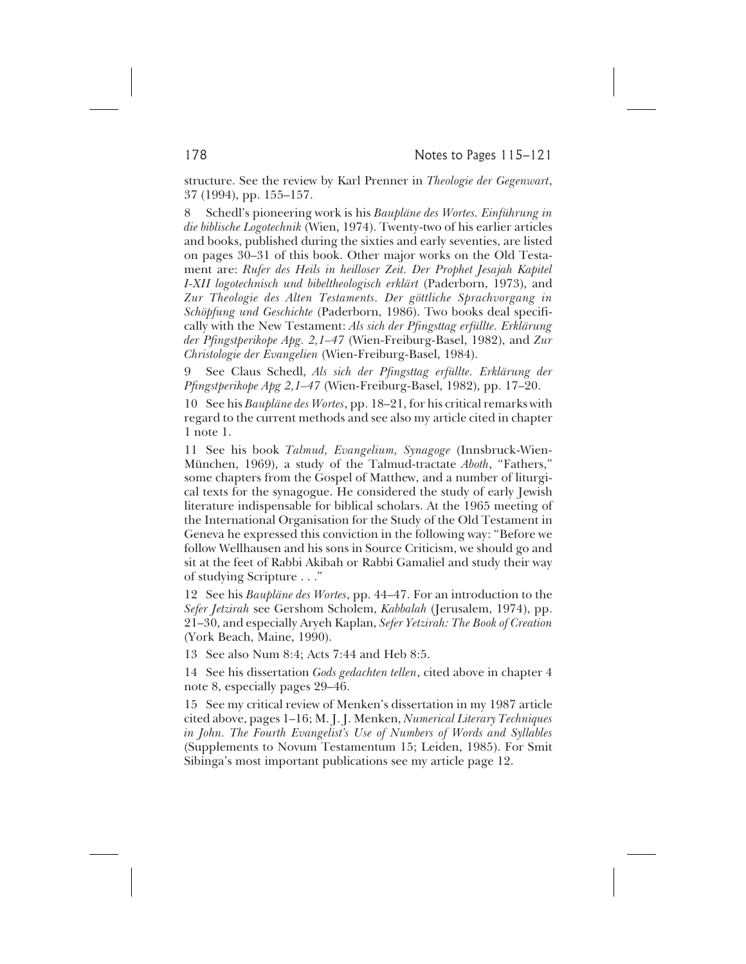structure. See the review by Karl Prenner in *Theologie der Gegenwart*, 37 (1994), pp. 155–157.

8 Schedl's pioneering work is his *Baupläne des Wortes. Einführung in die biblische Logotechnik* (Wien, 1974). Twenty-two of his earlier articles and books, published during the sixties and early seventies, are listed on pages 30–31 of this book. Other major works on the Old Testament are: *Rufer des Heils in heilloser Zeit. Der Prophet Jesajah Kapitel I-XII logotechnisch und bibeltheologisch erklärt* (Paderborn, 1973), and *Zur Theologie des Alten Testaments. Der göttliche Sprachvorgang in Schöpfung und Geschichte* (Paderborn, 1986). Two books deal specifically with the New Testament: *Als sich der Pfingsttag erfüllte. Erklärung der Pfingstperikope Apg. 2,1–47* (Wien-Freiburg-Basel, 1982), and *Zur Christologie der Evangelien* (Wien-Freiburg-Basel, 1984).

9 See Claus Schedl, *Als sich der Pfingsttag erfüllte. Erklärung der Pfingstperikope Apg 2,1–47* (Wien-Freiburg-Basel, 1982), pp. 17–20.

10 See his *Baupläne des Wortes*, pp. 18–21, for his critical remarks with regard to the current methods and see also my article cited in chapter 1 note 1.

11 See his book *Talmud, Evangelium, Synagoge* (Innsbruck-Wien-München, 1969), a study of the Talmud-tractate *Aboth*, "Fathers," some chapters from the Gospel of Matthew, and a number of liturgical texts for the synagogue. He considered the study of early Jewish literature indispensable for biblical scholars. At the 1965 meeting of the International Organisation for the Study of the Old Testament in Geneva he expressed this conviction in the following way: "Before we follow Wellhausen and his sons in Source Criticism, we should go and sit at the feet of Rabbi Akibah or Rabbi Gamaliel and study their way of studying Scripture . . ."

12 See his *Baupläne des Wortes*, pp. 44–47. For an introduction to the *Sefer Jetzirah* see Gershom Scholem, *Kabbalah* (Jerusalem, 1974), pp. 21–30, and especially Aryeh Kaplan, *Sefer Yetzirah: The Book of Creation* (York Beach, Maine, 1990).

13 See also Num 8:4; Acts 7:44 and Heb 8:5.

14 See his dissertation *Gods gedachten tellen*, cited above in chapter 4 note 8, especially pages 29–46.

15 See my critical review of Menken's dissertation in my 1987 article cited above, pages 1–16; M. J. J. Menken, *Numerical Literary Techniques in John. The Fourth Evangelist's Use of Numbers of Words and Syllables* (Supplements to Novum Testamentum 15; Leiden, 1985). For Smit Sibinga's most important publications see my article page 12.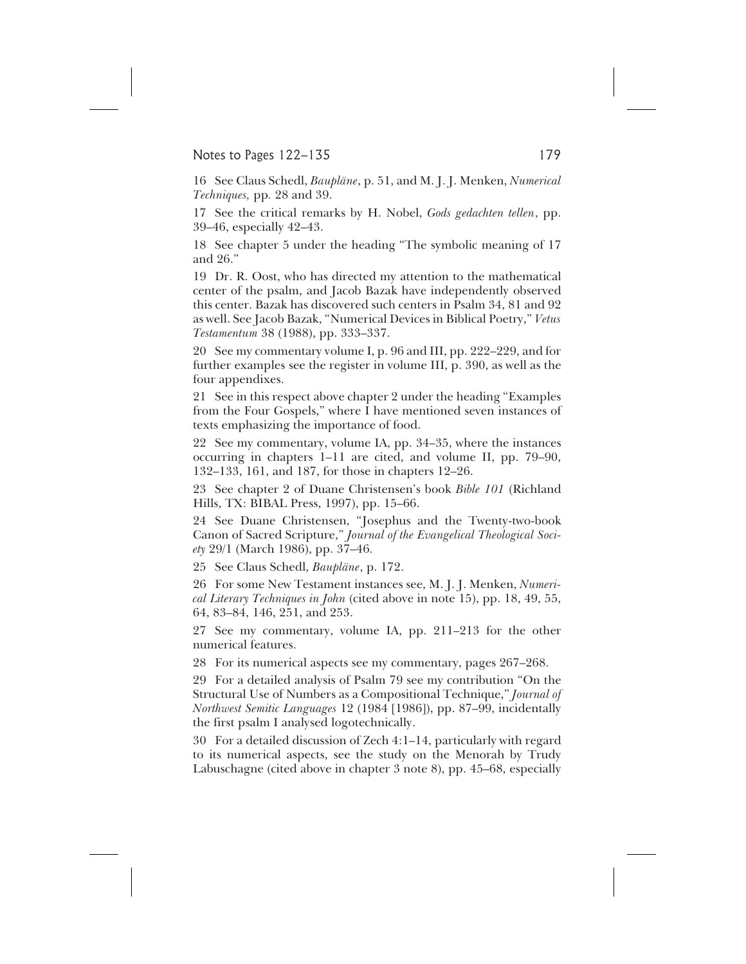## Notes to Pages 122–135 179

16 See Claus Schedl, *Baupläne*, p. 51, and M. J. J. Menken, *Numerical Techniques,* pp*.* 28 and 39.

17 See the critical remarks by H. Nobel, *Gods gedachten tellen*, pp. 39–46, especially 42–43.

18 See chapter 5 under the heading "The symbolic meaning of 17 and 26."

19 Dr. R. Oost, who has directed my attention to the mathematical center of the psalm, and Jacob Bazak have independently observed this center. Bazak has discovered such centers in Psalm 34, 81 and 92 as well. See Jacob Bazak, "Numerical Devices in Biblical Poetry," *Vetus Testamentum* 38 (1988), pp. 333–337.

20 See my commentary volume I, p. 96 and III, pp. 222–229, and for further examples see the register in volume III, p. 390, as well as the four appendixes.

21 See in this respect above chapter 2 under the heading "Examples from the Four Gospels," where I have mentioned seven instances of texts emphasizing the importance of food.

22 See my commentary, volume IA, pp. 34–35, where the instances occurring in chapters 1–11 are cited, and volume II, pp. 79–90, 132–133, 161, and 187, for those in chapters 12–26.

23 See chapter 2 of Duane Christensen's book *Bible 101* (Richland Hills, TX: BIBAL Press, 1997), pp. 15–66.

24 See Duane Christensen, "Josephus and the Twenty-two-book Canon of Sacred Scripture," *Journal of the Evangelical Theological Society* 29/1 (March 1986), pp. 37–46.

25 See Claus Schedl, *Baupläne*, p. 172.

26 For some New Testament instances see, M. J. J. Menken, *Numerical Literary Techniques in John* (cited above in note 15), pp. 18, 49, 55, 64, 83–84, 146, 251, and 253.

27 See my commentary, volume IA, pp. 211–213 for the other numerical features.

28 For its numerical aspects see my commentary, pages 267–268.

29 For a detailed analysis of Psalm 79 see my contribution "On the Structural Use of Numbers as a Compositional Technique," *Journal of Northwest Semitic Languages* 12 (1984 [1986]), pp. 87–99, incidentally the first psalm I analysed logotechnically.

30 For a detailed discussion of Zech 4:1–14, particularly with regard to its numerical aspects, see the study on the Menorah by Trudy Labuschagne (cited above in chapter 3 note 8), pp. 45–68, especially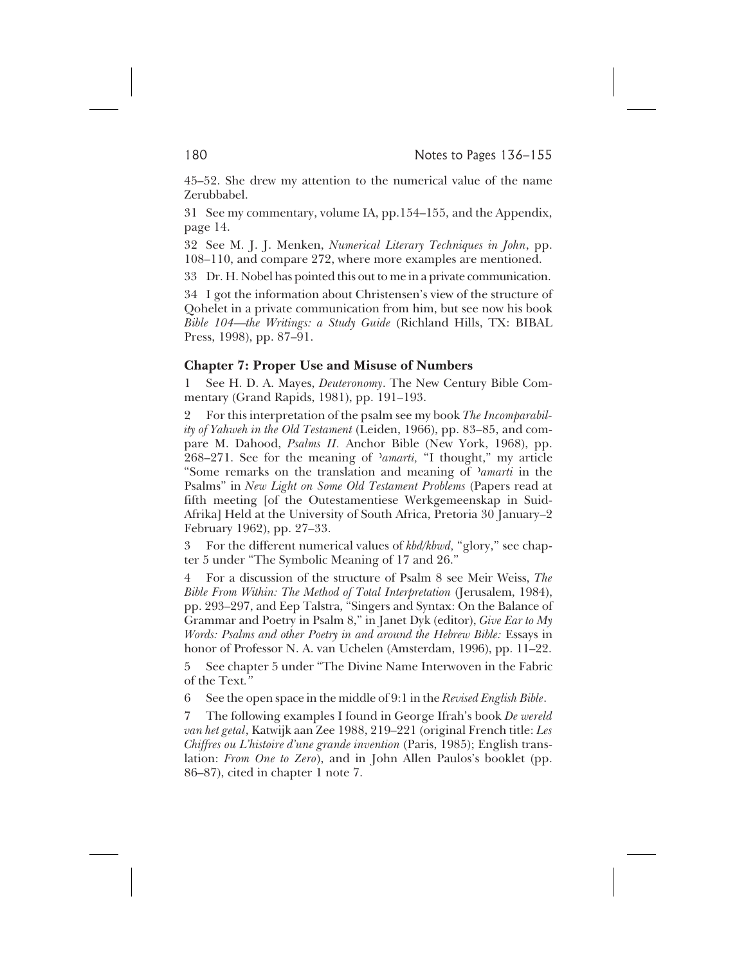45–52. She drew my attention to the numerical value of the name Zerubbabel.

31 See my commentary, volume IA, pp.154–155, and the Appendix, page 14.

32 See M. J. J. Menken, *Numerical Literary Techniques in John*, pp. 108–110, and compare 272, where more examples are mentioned.

33 Dr. H. Nobel has pointed this out to me in a private communication.

34 I got the information about Christensen's view of the structure of Qohelet in a private communication from him, but see now his book *Bible 104—the Writings: a Study Guide* (Richland Hills, TX: BIBAL Press, 1998), pp. 87–91.

#### **Chapter 7: Proper Use and Misuse of Numbers**

1 See H. D. A. Mayes, *Deuteronomy*. The New Century Bible Commentary (Grand Rapids, 1981), pp. 191–193.

2 For this interpretation of the psalm see my book *The Incomparability of Yahweh in the Old Testament* (Leiden, 1966), pp. 83–85, and compare M. Dahood, *Psalms II.* Anchor Bible (New York, 1968), pp. 268–271. See for the meaning of *'amarti*, "I thought," my article "Some remarks on the translation and meaning of *'amarti* in the Psalms" in *New Light on Some Old Testament Problems* (Papers read at fifth meeting [of the Outestamentiese Werkgemeenskap in Suid-Afrika] Held at the University of South Africa, Pretoria 30 January–2 February 1962), pp. 27–33.

3 For the different numerical values of *kbd/kbwd,* "glory," see chapter 5 under "The Symbolic Meaning of 17 and 26."

4 For a discussion of the structure of Psalm 8 see Meir Weiss, *The Bible From Within: The Method of Total Interpretation* (Jerusalem, 1984), pp. 293–297, and Eep Talstra, "Singers and Syntax: On the Balance of Grammar and Poetry in Psalm 8," in Janet Dyk (editor), *Give Ear to My Words: Psalms and other Poetry in and around the Hebrew Bible:* Essays in honor of Professor N. A. van Uchelen (Amsterdam, 1996), pp. 11–22.

5 See chapter 5 under "The Divine Name Interwoven in the Fabric of the Text*."*

6 See the open space in the middle of 9:1 in the *Revised English Bible*.

7 The following examples I found in George Ifrah's book *De wereld van het getal*, Katwijk aan Zee 1988, 219–221 (original French title: *Les Chiffres ou L'histoire d'une grande invention* (Paris, 1985); English translation: *From One to Zero*), and in John Allen Paulos's booklet (pp. 86–87), cited in chapter 1 note 7.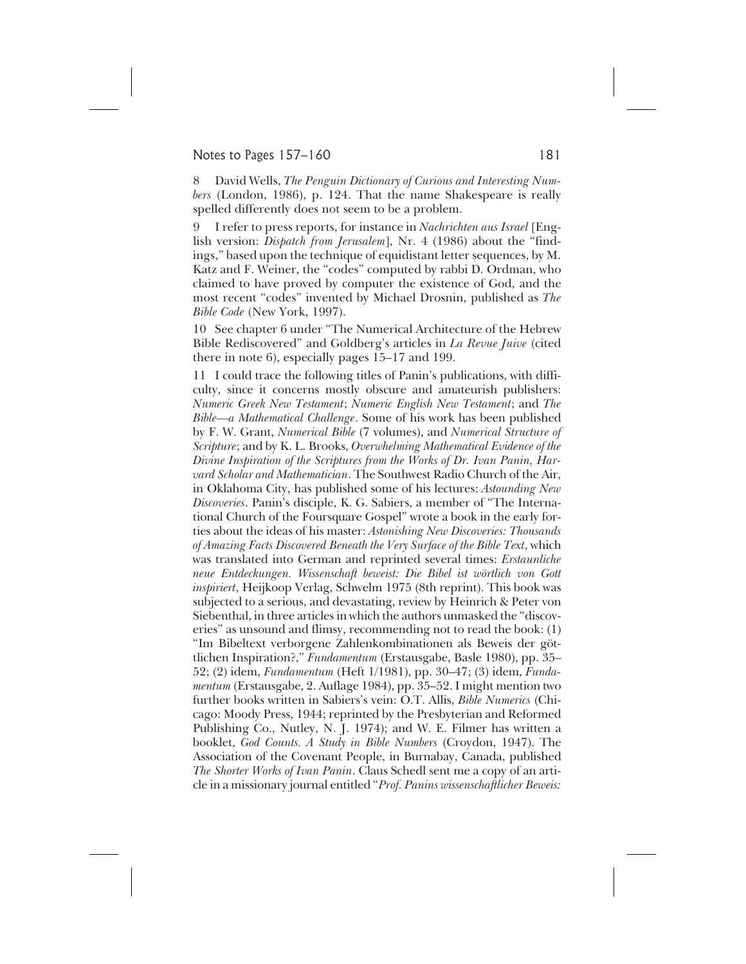### Notes to Pages 157–160 181

8 David Wells, *The Penguin Dictionary of Curious and Interesting Numbers* (London, 1986), p. 124. That the name Shakespeare is really spelled differently does not seem to be a problem.

9 I refer to press reports, for instance in *Nachrichten aus Israel* [English version: *Dispatch from Jerusalem*], Nr. 4 (1986) about the "findings," based upon the technique of equidistant letter sequences, by M. Katz and F. Weiner, the "codes" computed by rabbi D. Ordman, who claimed to have proved by computer the existence of God, and the most recent "codes" invented by Michael Drosnin, published as *The Bible Code* (New York, 1997).

10 See chapter 6 under "The Numerical Architecture of the Hebrew Bible Rediscovered" and Goldberg's articles in *La Revue Juive* (cited there in note 6), especially pages 15–17 and 199.

11 I could trace the following titles of Panin's publications, with difficulty, since it concerns mostly obscure and amateurish publishers: *Numeric Greek New Testament*; *Numeric English New Testament*; and *The Bible—a Mathematical Challenge*. Some of his work has been published by F. W. Grant, *Numerical Bible* (7 volumes), and *Numerical Structure of Scripture*; and by K. L. Brooks, *Overwhelming Mathematical Evidence of the Divine Inspiration of the Scriptures from the Works of Dr. Ivan Panin, Harvard Scholar and Mathematician*. The Southwest Radio Church of the Air, in Oklahoma City, has published some of his lectures: *Astounding New Discoveries*. Panin's disciple, K. G. Sabiers, a member of "The International Church of the Foursquare Gospel" wrote a book in the early forties about the ideas of his master: *Astonishing New Discoveries: Thousands of Amazing Facts Discovered Beneath the Very Surface of the Bible Text*, which was translated into German and reprinted several times: *Erstaunliche neue Entdeckungen. Wissenschaft beweist: Die Bibel ist wörtlich von Gott inspiriert*, Heijkoop Verlag, Schwelm 1975 (8th reprint). This book was subjected to a serious, and devastating, review by Heinrich & Peter von Siebenthal, in three articles in which the authors unmasked the "discoveries" as unsound and flimsy, recommending not to read the book: (1) "Im Bibeltext verborgene Zahlenkombinationen als Beweis der göttlichen Inspiration?," *Fundamentum* (Erstausgabe, Basle 1980), pp. 35– 52; (2) idem, *Fundamentum* (Heft 1/1981), pp. 30–47; (3) idem, *Fundamentum* (Erstausgabe, 2. Auflage 1984), pp. 35–52. I might mention two further books written in Sabiers's vein: O.T. Allis, *Bible Numerics* (Chicago: Moody Press, 1944; reprinted by the Presbyterian and Reformed Publishing Co., Nutley, N. J. 1974); and W. E. Filmer has written a booklet, *God Counts. A Study in Bible Numbers* (Croydon, 1947). The Association of the Covenant People, in Burnabay, Canada, published *The Shorter Works of Ivan Panin*. Claus Schedl sent me a copy of an article in a missionary journal entitled "*Prof. Panins wissenschaftlicher Beweis:*